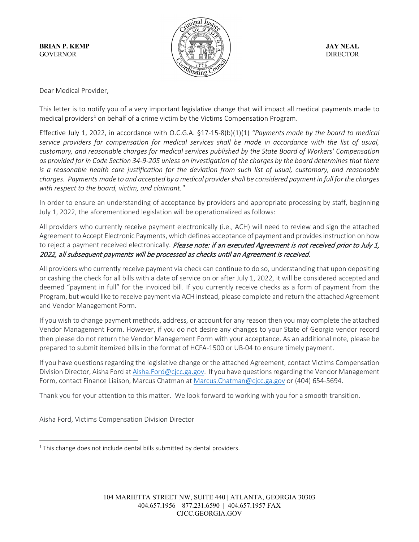

Dear Medical Provider,

This letter is to notify you of a very important legislative change that will impact all medical payments made to medical providers<sup>[1](#page-0-0)</sup> on behalf of a crime victim by the Victims Compensation Program.

Effective July 1, 2022, in accordance with O.C.G.A. §17-15-8(b)(1)(1) *"Payments made by the board to medical service providers for compensation for medical services shall be made in accordance with the list of usual, customary, and reasonable charges for medical services published by the State Board of Workers' Compensation as provided for in Code Section 34-9-205 unless an investigation of the charges by the board determines that there is a reasonable health care justification for the deviation from such list of usual, customary, and reasonable charges. Payments made to and accepted by a medical provider shall be considered payment in full for the charges with respect to the board, victim, and claimant."*

In order to ensure an understanding of acceptance by providers and appropriate processing by staff, beginning July 1, 2022, the aforementioned legislation will be operationalized as follows:

All providers who currently receive payment electronically (i.e., ACH) will need to review and sign the attached Agreement to Accept Electronic Payments, which defines acceptance of payment and provides instruction on how to reject a payment received electronically. Please note: if an executed Agreement is not received prior to July 1, 2022, all subsequent payments will be processed as checks until an Agreement is received.

All providers who currently receive payment via check can continue to do so, understanding that upon depositing or cashing the check for all bills with a date of service on or after July 1, 2022, it will be considered accepted and deemed "payment in full" for the invoiced bill. If you currently receive checks as a form of payment from the Program, but would like to receive payment via ACH instead, please complete and return the attached Agreement and Vendor Management Form.

If you wish to change payment methods, address, or account for any reason then you may complete the attached Vendor Management Form. However, if you do not desire any changes to your State of Georgia vendor record then please do not return the Vendor Management Form with your acceptance. As an additional note, please be prepared to submit itemized bills in the format of HCFA-1500 or UB-04 to ensure timely payment.

If you have questions regarding the legislative change or the attached Agreement, contact Victims Compensation Division Director, Aisha Ford at [Aisha.Ford@cjcc.ga.gov.](mailto:Aisha.Ford@cjcc.ga.gov) If you have questions regarding the Vendor Management Form, contact Finance Liaison, Marcus Chatman at [Marcus.Chatman@cjcc.ga.gov](mailto:Marcus.Chatman@cjcc.ga.gov) or (404) 654-5694.

Thank you for your attention to this matter. We look forward to working with you for a smooth transition.

Aisha Ford, Victims Compensation Division Director

<span id="page-0-0"></span> $1$  This change does not include dental bills submitted by dental providers.